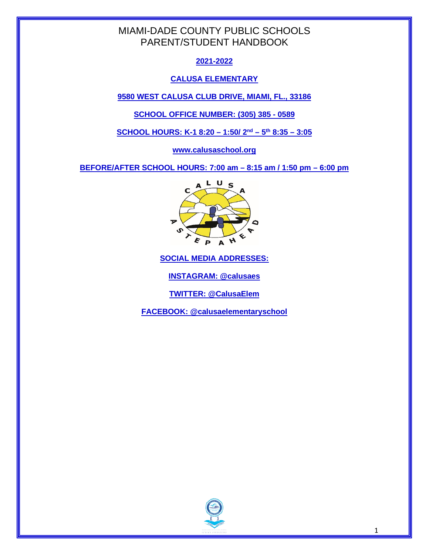# **2021-2022**

# **CALUSA ELEMENTARY**

**9580 WEST CALUSA CLUB DRIVE, MIAMI, FL., 33186**

**SCHOOL OFFICE NUMBER: (305) 385 - 0589**

**SCHOOL HOURS: K-1 8:20 – 1:50/ 2nd – 5th 8:35 – 3:05**

**www.calusaschool.org**

**BEFORE/AFTER SCHOOL HOURS: 7:00 am – 8:15 am / 1:50 pm – 6:00 pm** 



**SOCIAL MEDIA ADDRESSES:**

**INSTAGRAM: @calusaes**

**TWITTER: @CalusaElem**

**FACEBOOK: @calusaelementaryschool**

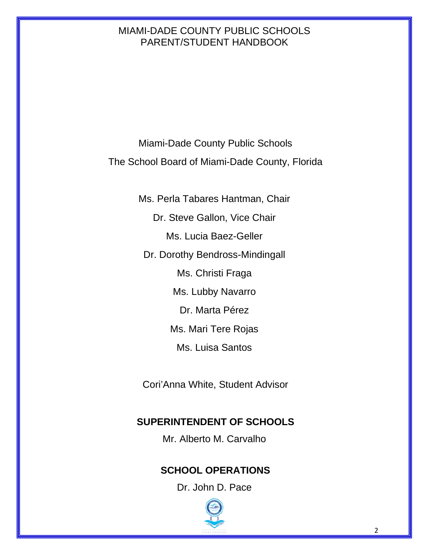Miami-Dade County Public Schools The School Board of Miami-Dade County, Florida

> Ms. Perla Tabares Hantman, Chair Dr. Steve Gallon, Vice Chair Ms. Lucia Baez-Geller Dr. Dorothy Bendross-Mindingall Ms. Christi Fraga Ms. Lubby Navarro Dr. Marta Pérez Ms. Mari Tere Rojas Ms. Luisa Santos

Cori'Anna White, Student Advisor

# **SUPERINTENDENT OF SCHOOLS**

Mr. Alberto M. Carvalho

# **SCHOOL OPERATIONS**

Dr. John D. Pace

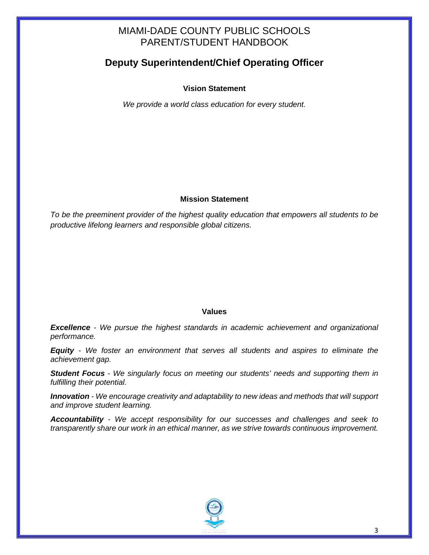# **Deputy Superintendent/Chief Operating Officer**

### **Vision Statement**

*We provide a world class education for every student.* 

### **Mission Statement**

*To be the preeminent provider of the highest quality education that empowers all students to be productive lifelong learners and responsible global citizens.*

#### **Values**

*Excellence - We pursue the highest standards in academic achievement and organizational performance.*

*Equity - We foster an environment that serves all students and aspires to eliminate the achievement gap.* 

*Student Focus - We singularly focus on meeting our students' needs and supporting them in fulfilling their potential.*

*Innovation - We encourage creativity and adaptability to new ideas and methods that will support and improve student learning.*

*Accountability - We accept responsibility for our successes and challenges and seek to transparently share our work in an ethical manner, as we strive towards continuous improvement.*

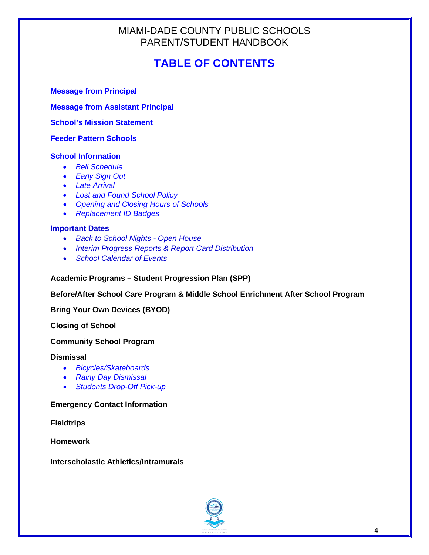# **TABLE OF CONTENTS**

**Message from Principal**

**Message from Assistant Principal**

**School's Mission Statement**

**Feeder Pattern Schools**

# **School Information**

- *Bell Schedule*
- *Early Sign Out*
- *Late Arrival*
- *Lost and Found School Policy*
- *Opening and Closing Hours of Schools*
- *Replacement ID Badges*

# **Important Dates**

- *Back to School Nights - Open House*
- *Interim Progress Reports & Report Card Distribution*
- *School Calendar of Events*

#### **Academic Programs – Student Progression Plan (SPP)**

**Before/After School Care Program & Middle School Enrichment After School Program**

**Bring Your Own Devices (BYOD)**

**Closing of School**

#### **Community School Program**

#### **Dismissal**

- *Bicycles/Skateboards*
- *Rainy Day Dismissal*
- *Students Drop-Off Pick-up*

#### **Emergency Contact Information**

**Fieldtrips** 

**Homework**

#### **Interscholastic Athletics/Intramurals**

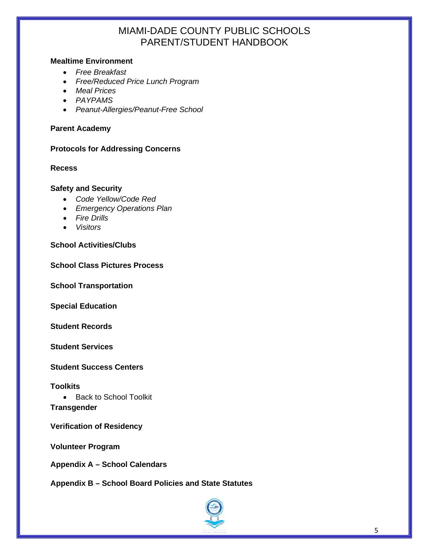### **Mealtime Environment**

- *Free Breakfast*
- *Free/Reduced Price Lunch Program*
- *Meal Prices*
- *PAYPAMS*
- *Peanut-Allergies/Peanut-Free School*

#### **Parent Academy**

#### **Protocols for Addressing Concerns**

#### **Recess**

#### **Safety and Security**

- *Code Yellow/Code Red*
- *Emergency Operations Plan*
- *Fire Drills*
- *Visitors*

#### **School Activities/Clubs**

#### **School Class Pictures Process**

**School Transportation**

**Special Education**

**Student Records**

**Student Services**

**Student Success Centers**

**Toolkits**

• Back to School Toolkit **Transgender**

**Verification of Residency**

**Volunteer Program**

**Appendix A – School Calendars**

**Appendix B – School Board Policies and State Statutes**

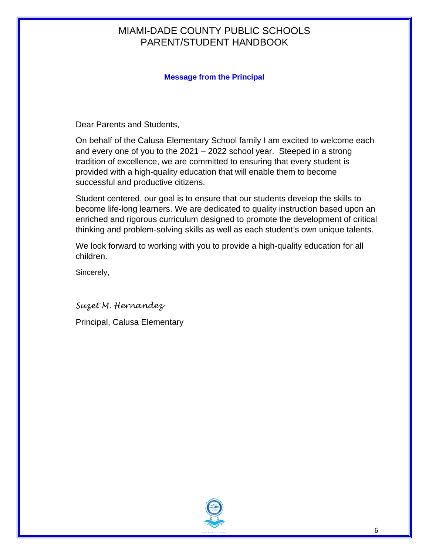# **Message from the Principal**

Dear Parents and Students,

On behalf of the Calusa Elementary School family I am excited to welcome each and every one of you to the 2021 – 2022 school year. Steeped in a strong tradition of excellence, we are committed to ensuring that every student is provided with a high-quality education that will enable them to become successful and productive citizens.

Student centered, our goal is to ensure that our students develop the skills to become life-long learners. We are dedicated to quality instruction based upon an enriched and rigorous curriculum designed to promote the development of critical thinking and problem-solving skills as well as each student's own unique talents.

We look forward to working with you to provide a high-quality education for all children.

Sincerely,

*Suzet M. Hernandez* Principal, Calusa Elementary

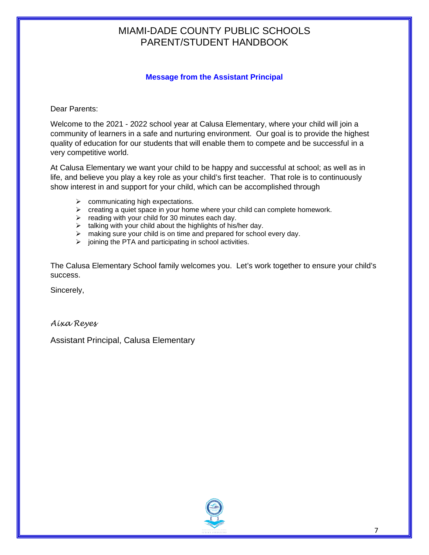# **Message from the Assistant Principal**

Dear Parents:

Welcome to the 2021 - 2022 school year at Calusa Elementary, where your child will join a community of learners in a safe and nurturing environment. Our goal is to provide the highest quality of education for our students that will enable them to compete and be successful in a very competitive world.

At Calusa Elementary we want your child to be happy and successful at school; as well as in life, and believe you play a key role as your child's first teacher. That role is to continuously show interest in and support for your child, which can be accomplished through

- $\triangleright$  communicating high expectations.
- $\triangleright$  creating a quiet space in your home where your child can complete homework.
- $\triangleright$  reading with your child for 30 minutes each day.
- $\triangleright$  talking with your child about the highlights of his/her day.
- $\triangleright$  making sure your child is on time and prepared for school every day.
- $\triangleright$  joining the PTA and participating in school activities.

The Calusa Elementary School family welcomes you. Let's work together to ensure your child's success.

Sincerely,

*Aixa Reyes*

Assistant Principal, Calusa Elementary

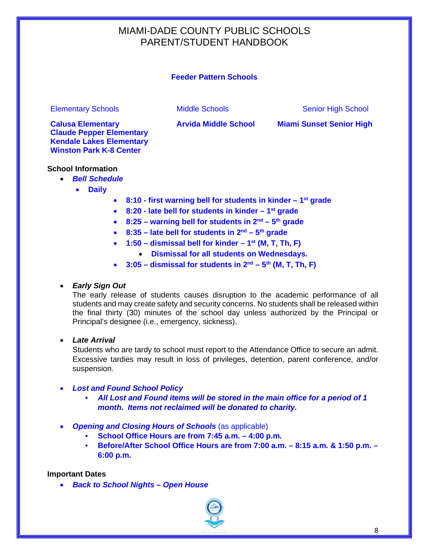### **Feeder Pattern Schools**

Elementary Schools **Elementary Schools** Middle Schools Senior High School Senior High School

**Calusa Elementary Arvida Middle School Miami Sunset Senior High Claude Pepper Elementary Kendale Lakes Elementary Winston Park K-8 Center**

#### **School Information**

- *Bell Schedule*
	- **Daily**
- **8:10 - first warning bell for students in kinder – 1st grade**
- **8:20 - late bell for students in kinder – 1st grade**
- **8:25 – warning bell for students in 2nd – 5th grade**
- **8:35 – late bell for students in 2nd – 5th grade**
- **1:50 – dismissal bell for kinder – 1st (M, T, Th, F)**  • **Dismissal for all students on Wednesdays.**
- **3:05 – dismissal for students in 2nd – 5th (M, T, Th, F)**

#### • *Early Sign Out*

The early release of students causes disruption to the academic performance of all students and may create safety and security concerns. No students shall be released within the final thirty (30) minutes of the school day unless authorized by the Principal or Principal's designee (i.e., emergency, sickness).

• *Late Arrival*

Students who are tardy to school must report to the Attendance Office to secure an admit. Excessive tardies may result in loss of privileges, detention, parent conference, and/or suspension.

#### • *Lost and Found School Policy*

- *All Lost and Found items will be stored in the main office for a period of 1 month. Items not reclaimed will be donated to charity.*
- *Opening and Closing Hours of Schools* (as applicable)
	- **School Office Hours are from 7:45 a.m. – 4:00 p.m.**
	- **Before/After School Office Hours are from 7:00 a.m. – 8:15 a.m. & 1:50 p.m. – 6:00 p.m.**

#### **Important Dates**

• *Back to School Nights – Open House* 

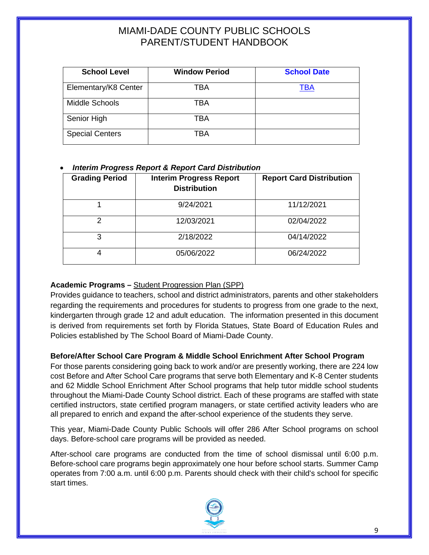| <b>School Level</b>    | <b>Window Period</b> | <b>School Date</b> |
|------------------------|----------------------|--------------------|
| Elementary/K8 Center   | TBA                  | TBA                |
| Middle Schools         | TBA                  |                    |
| Senior High            | <b>TBA</b>           |                    |
| <b>Special Centers</b> | TBA                  |                    |

# • *Interim Progress Report & Report Card Distribution*

| <b>Grading Period</b> | <b>Interim Progress Report</b><br><b>Distribution</b> | <b>Report Card Distribution</b> |
|-----------------------|-------------------------------------------------------|---------------------------------|
|                       | 9/24/2021                                             | 11/12/2021                      |
|                       | 12/03/2021                                            | 02/04/2022                      |
| 3                     | 2/18/2022                                             | 04/14/2022                      |
|                       | 05/06/2022                                            | 06/24/2022                      |

# **Academic Programs –** [Student Progression Plan \(SPP\)](http://ehandbooks.dadeschools.net/policies/93.pdf)

Provides guidance to teachers, school and district administrators, parents and other stakeholders regarding the requirements and procedures for students to progress from one grade to the next, kindergarten through grade 12 and adult education. The information presented in this document is derived from requirements set forth by Florida Statues, State Board of Education Rules and Policies established by The School Board of Miami-Dade County.

# **Before/After School Care Program & Middle School Enrichment After School Program**

For those parents considering going back to work and/or are presently working, there are 224 low cost Before and After School Care programs that serve both Elementary and K-8 Center students and 62 Middle School Enrichment After School programs that help tutor middle school students throughout the Miami-Dade County School district. Each of these programs are staffed with state certified instructors, state certified program managers, or state certified activity leaders who are all prepared to enrich and expand the after-school experience of the students they serve.

This year, Miami-Dade County Public Schools will offer 286 After School programs on school days. Before-school care programs will be provided as needed.

After-school care programs are conducted from the time of school dismissal until 6:00 p.m. Before-school care programs begin approximately one hour before school starts. Summer Camp operates from 7:00 a.m. until 6:00 p.m. Parents should check with their child's school for specific start times.

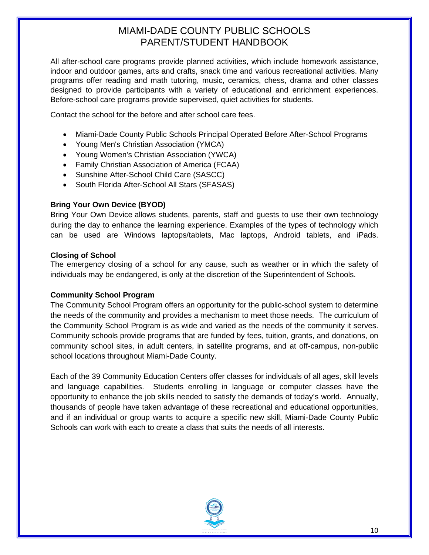All after-school care programs provide planned activities, which include homework assistance, indoor and outdoor games, arts and crafts, snack time and various recreational activities. Many programs offer reading and math tutoring, music, ceramics, chess, drama and other classes designed to provide participants with a variety of educational and enrichment experiences. Before-school care programs provide supervised, quiet activities for students.

Contact the school for the before and after school care fees.

- Miami-Dade County Public Schools Principal Operated Before After-School Programs
- Young Men's Christian Association (YMCA)
- Young Women's Christian Association (YWCA)
- Family Christian Association of America (FCAA)
- Sunshine After-School Child Care (SASCC)
- South Florida After-School All Stars (SFASAS)

# **Bring Your Own Device (BYOD)**

Bring Your Own Device allows students, parents, staff and guests to use their own technology during the day to enhance the learning experience. Examples of the types of technology which can be used are Windows laptops/tablets, Mac laptops, Android tablets, and iPads.

### **Closing of School**

The emergency closing of a school for any cause, such as weather or in which the safety of individuals may be endangered, is only at the discretion of the Superintendent of Schools.

# **Community School Program**

The Community School Program offers an opportunity for the public-school system to determine the needs of the community and provides a mechanism to meet those needs. The curriculum of the Community School Program is as wide and varied as the needs of the community it serves. Community schools provide programs that are funded by fees, tuition, grants, and donations, on community school sites, in adult centers, in satellite programs, and at off-campus, non-public school locations throughout Miami-Dade County.

Each of the 39 Community Education Centers offer classes for individuals of all ages, skill levels and language capabilities. Students enrolling in language or computer classes have the opportunity to enhance the job skills needed to satisfy the demands of today's world. Annually, thousands of people have taken advantage of these recreational and educational opportunities, and if an individual or group wants to acquire a specific new skill, Miami-Dade County Public Schools can work with each to create a class that suits the needs of all interests.

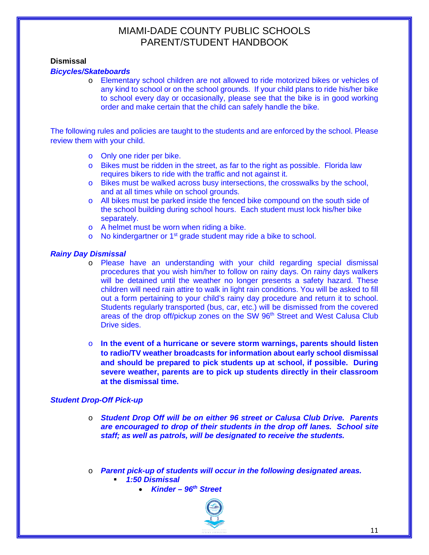#### **Dismissal**

#### *Bicycles/Skateboards*

o Elementary school children are not allowed to ride motorized bikes or vehicles of any kind to school or on the school grounds. If your child plans to ride his/her bike to school every day or occasionally, please see that the bike is in good working order and make certain that the child can safely handle the bike.

The following rules and policies are taught to the students and are enforced by the school. Please review them with your child.

- o Only one rider per bike.
- o Bikes must be ridden in the street, as far to the right as possible. Florida law requires bikers to ride with the traffic and not against it.
- o Bikes must be walked across busy intersections, the crosswalks by the school, and at all times while on school grounds.
- o All bikes must be parked inside the fenced bike compound on the south side of the school building during school hours. Each student must lock his/her bike separately.
- o A helmet must be worn when riding a bike.
- $\circ$  No kindergartner or 1<sup>st</sup> grade student may ride a bike to school.

#### *Rainy Day Dismissal*

- o Please have an understanding with your child regarding special dismissal procedures that you wish him/her to follow on rainy days. On rainy days walkers will be detained until the weather no longer presents a safety hazard. These children will need rain attire to walk in light rain conditions. You will be asked to fill out a form pertaining to your child's rainy day procedure and return it to school. Students regularly transported (bus, car, etc.) will be dismissed from the covered areas of the drop off/pickup zones on the SW 96<sup>th</sup> Street and West Calusa Club Drive sides.
- o **In the event of a hurricane or severe storm warnings, parents should listen to radio/TV weather broadcasts for information about early school dismissal and should be prepared to pick students up at school, if possible. During severe weather, parents are to pick up students directly in their classroom at the dismissal time.**

#### *Student Drop-Off Pick-up*

- o *Student Drop Off will be on either 96 street or Calusa Club Drive. Parents are encouraged to drop of their students in the drop off lanes. School site staff; as well as patrols, will be designated to receive the students.*
- o *Parent pick-up of students will occur in the following designated areas.*
	- *1:50 Dismissal*
		- *Kinder – 96th Street*

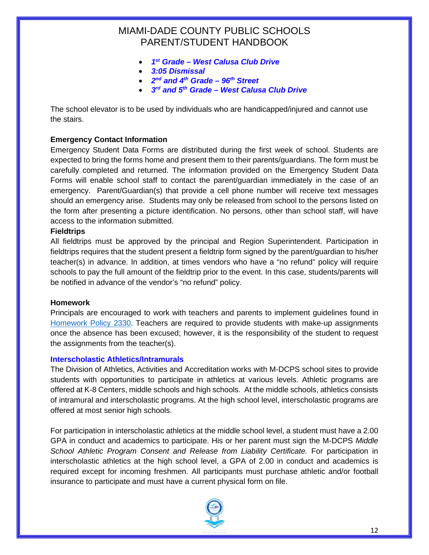- *1st Grade – West Calusa Club Drive*
- *3:05 Dismissal*
- *2nd and 4th Grade – 96th Street*
- *3rd and 5th Grade – West Calusa Club Drive*

The school elevator is to be used by individuals who are handicapped/injured and cannot use the stairs.

### **Emergency Contact Information**

Emergency Student Data Forms are distributed during the first week of school. Students are expected to bring the forms home and present them to their parents/guardians. The form must be carefully completed and returned. The information provided on the Emergency Student Data Forms will enable school staff to contact the parent/guardian immediately in the case of an emergency. Parent/Guardian(s) that provide a cell phone number will receive text messages should an emergency arise. Students may only be released from school to the persons listed on the form after presenting a picture identification. No persons, other than school staff, will have access to the information submitted.

#### **Fieldtrips**

All fieldtrips must be approved by the principal and Region Superintendent. Participation in fieldtrips requires that the student present a fieldtrip form signed by the parent/guardian to his/her teacher(s) in advance. In addition, at times vendors who have a "no refund" policy will require schools to pay the full amount of the fieldtrip prior to the event. In this case, students/parents will be notified in advance of the vendor's "no refund" policy.

#### **Homework**

Principals are encouraged to work with teachers and parents to implement guidelines found in [Homework Policy 2330.](http://www.neola.com/miamidade-fl/search/policies/po2330.htm) Teachers are required to provide students with make-up assignments once the absence has been excused; however, it is the responsibility of the student to request the assignments from the teacher(s).

#### **Interscholastic Athletics/Intramurals**

The Division of Athletics, Activities and Accreditation works with M-DCPS school sites to provide students with opportunities to participate in athletics at various levels. Athletic programs are offered at K-8 Centers, middle schools and high schools. At the middle schools, athletics consists of intramural and interscholastic programs. At the high school level, interscholastic programs are offered at most senior high schools.

For participation in interscholastic athletics at the middle school level, a student must have a 2.00 GPA in conduct and academics to participate. His or her parent must sign the M-DCPS *Middle*  School Athletic Program Consent and Release from Liability Certificate. For participation in interscholastic athletics at the high school level, a GPA of 2.00 in conduct and academics is required except for incoming freshmen. All participants must purchase athletic and/or football insurance to participate and must have a current physical form on file.

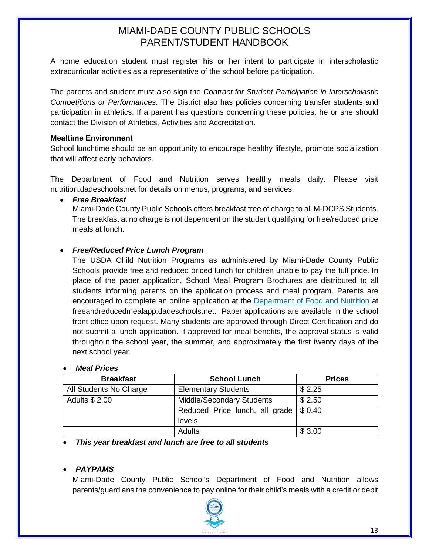A home education student must register his or her intent to participate in interscholastic extracurricular activities as a representative of the school before participation.

The parents and student must also sign the *Contract for Student Participation in Interscholastic Competitions or Performances.* The District also has policies concerning transfer students and participation in athletics. If a parent has questions concerning these policies, he or she should contact the Division of Athletics, Activities and Accreditation.

# **Mealtime Environment**

School lunchtime should be an opportunity to encourage healthy lifestyle, promote socialization that will affect early behaviors.

The Department of Food and Nutrition serves healthy meals daily. Please visit nutrition.dadeschools.net for details on menus, programs, and services.

### • *Free Breakfast*

Miami-Dade County Public Schools offers breakfast free of charge to all M-DCPS Students. The breakfast at no charge is not dependent on the student qualifying for free/reduced price meals at lunch.

# • *Free/Reduced Price Lunch Program*

The USDA Child Nutrition Programs as administered by Miami-Dade County Public Schools provide free and reduced priced lunch for children unable to pay the full price. In place of the paper application, School Meal Program Brochures are distributed to all students informing parents on the application process and meal program. Parents are encouraged to complete an online application at the [Department of Food and Nutrition](https://freeandreducedmealapp.dadeschools.net/lfserver/LandingPage) at freeandreducedmealapp.dadeschools.net. Paper applications are available in the school front office upon request. Many students are approved through Direct Certification and do not submit a lunch application. If approved for meal benefits, the approval status is valid throughout the school year, the summer, and approximately the first twenty days of the next school year.

# • *Meal Prices*

| <b>Breakfast</b>       | <b>School Lunch</b>                                  | <b>Prices</b> |
|------------------------|------------------------------------------------------|---------------|
| All Students No Charge | <b>Elementary Students</b>                           | \$2.25        |
| Adults \$ 2.00         | <b>Middle/Secondary Students</b>                     | \$2.50        |
|                        | Reduced Price lunch, all grade $\frac{1}{2}$ \$ 0.40 |               |
|                        | levels                                               |               |
|                        | Adults                                               | \$3.00        |

• *This year breakfast and lunch are free to all students*

# • *PAYPAMS*

Miami-Dade County Public School's Department of Food and Nutrition allows parents/guardians the convenience to pay online for their child's meals with a credit or debit

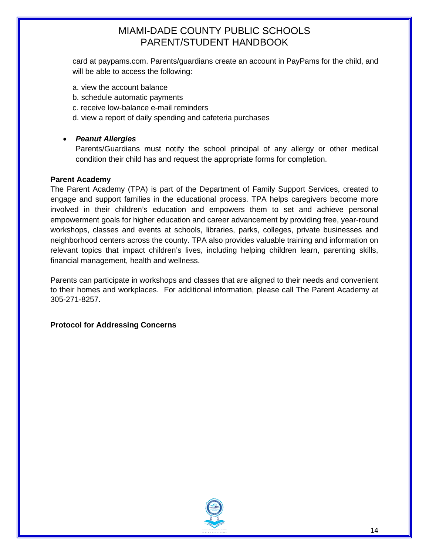card at paypams.com. Parents/guardians create an account in PayPams for the child, and will be able to access the following:

- a. view the account balance
- b. schedule automatic payments
- c. receive low-balance e-mail reminders
- d. view a report of daily spending and cafeteria purchases

### • *Peanut Allergies*

Parents/Guardians must notify the school principal of any allergy or other medical condition their child has and request the appropriate forms for completion.

#### **Parent Academy**

The Parent Academy (TPA) is part of the Department of Family Support Services, created to engage and support families in the educational process. TPA helps caregivers become more involved in their children's education and empowers them to set and achieve personal empowerment goals for higher education and career advancement by providing free, year-round workshops, classes and events at schools, libraries, parks, colleges, private businesses and neighborhood centers across the county. TPA also provides valuable training and information on relevant topics that impact children's lives, including helping children learn, parenting skills, financial management, health and wellness.

Parents can participate in workshops and classes that are aligned to their needs and convenient to their homes and workplaces. For additional information, please call The Parent Academy at 305-271-8257.

#### **Protocol for Addressing Concerns**

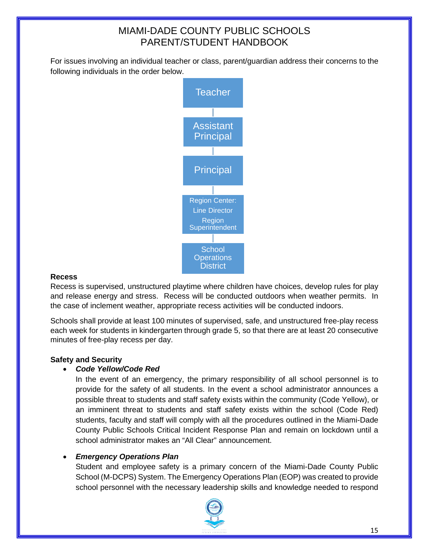For issues involving an individual teacher or class, parent/guardian address their concerns to the following individuals in the order below.



# **Recess**

Recess is supervised, unstructured playtime where children have choices, develop rules for play and release energy and stress. Recess will be conducted outdoors when weather permits. In the case of inclement weather, appropriate recess activities will be conducted indoors.

Schools shall provide at least 100 minutes of supervised, safe, and unstructured free-play recess each week for students in kindergarten through grade 5, so that there are at least 20 consecutive minutes of free-play recess per day.

# **Safety and Security**

# • *Code Yellow/Code Red*

In the event of an emergency, the primary responsibility of all school personnel is to provide for the safety of all students. In the event a school administrator announces a possible threat to students and staff safety exists within the community (Code Yellow), or an imminent threat to students and staff safety exists within the school (Code Red) students, faculty and staff will comply with all the procedures outlined in the Miami-Dade County Public Schools Critical Incident Response Plan and remain on lockdown until a school administrator makes an "All Clear" announcement.

# • *Emergency Operations Plan*

Student and employee safety is a primary concern of the Miami-Dade County Public School (M-DCPS) System. The Emergency Operations Plan (EOP) was created to provide school personnel with the necessary leadership skills and knowledge needed to respond

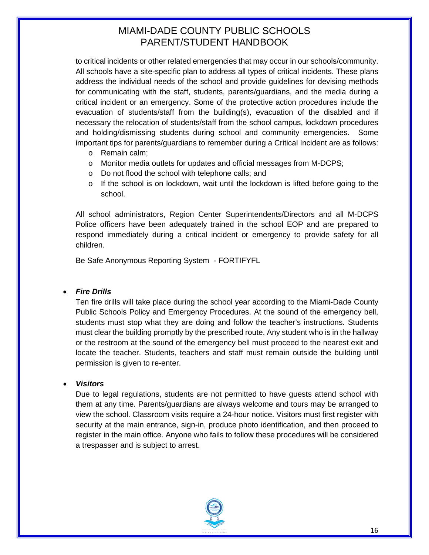to critical incidents or other related emergencies that may occur in our schools/community. All schools have a site-specific plan to address all types of critical incidents. These plans address the individual needs of the school and provide guidelines for devising methods for communicating with the staff, students, parents/guardians, and the media during a critical incident or an emergency. Some of the protective action procedures include the evacuation of students/staff from the building(s), evacuation of the disabled and if necessary the relocation of students/staff from the school campus, lockdown procedures and holding/dismissing students during school and community emergencies. Some important tips for parents/guardians to remember during a Critical Incident are as follows:

- o Remain calm;
- o Monitor media outlets for updates and official messages from M-DCPS;
- o Do not flood the school with telephone calls; and
- $\circ$  If the school is on lockdown, wait until the lockdown is lifted before going to the school.

All school administrators, Region Center Superintendents/Directors and all M-DCPS Police officers have been adequately trained in the school EOP and are prepared to respond immediately during a critical incident or emergency to provide safety for all children.

Be Safe Anonymous Reporting System - FORTIFYFL

#### • *Fire Drills*

Ten fire drills will take place during the school year according to the Miami-Dade County Public Schools Policy and Emergency Procedures. At the sound of the emergency bell, students must stop what they are doing and follow the teacher's instructions. Students must clear the building promptly by the prescribed route. Any student who is in the hallway or the restroom at the sound of the emergency bell must proceed to the nearest exit and locate the teacher. Students, teachers and staff must remain outside the building until permission is given to re-enter.

#### • *Visitors*

Due to legal regulations, students are not permitted to have guests attend school with them at any time. Parents/guardians are always welcome and tours may be arranged to view the school. Classroom visits require a 24-hour notice. Visitors must first register with security at the main entrance, sign-in, produce photo identification, and then proceed to register in the main office. Anyone who fails to follow these procedures will be considered a trespasser and is subject to arrest.

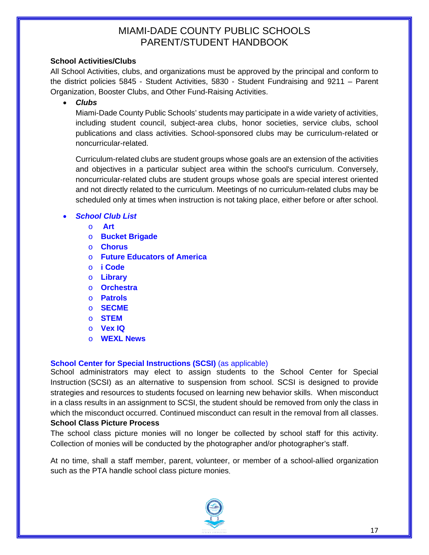### **School Activities/Clubs**

All School Activities, clubs, and organizations must be approved by the principal and conform to the district policies 5845 - Student Activities, 5830 - Student Fundraising and 9211 – Parent Organization, Booster Clubs, and Other Fund-Raising Activities.

• *Clubs*

Miami-Dade County Public Schools' students may participate in a wide variety of activities, including student council, subject-area clubs, honor societies, service clubs, school publications and class activities. School-sponsored clubs may be curriculum-related or noncurricular-related.

Curriculum-related clubs are student groups whose goals are an extension of the activities and objectives in a particular subject area within the school's curriculum. Conversely, noncurricular-related clubs are student groups whose goals are special interest oriented and not directly related to the curriculum. Meetings of no curriculum-related clubs may be scheduled only at times when instruction is not taking place, either before or after school.

# • *School Club List*

- o **Art**
- o **Bucket Brigade**
- o **Chorus**
- o **Future Educators of America**
- o **i Code**
- o **Library**
- o **Orchestra**
- o **Patrols**
- o **SECME**
- o **STEM**
- o **Vex IQ**
- o **WEXL News**

# **School Center for Special Instructions (SCSI)** (as applicable)

School administrators may elect to assign students to the School Center for Special Instruction (SCSI) as an alternative to suspension from school. SCSI is designed to provide strategies and resources to students focused on learning new behavior skills. When misconduct in a class results in an assignment to SCSI, the student should be removed from only the class in which the misconduct occurred. Continued misconduct can result in the removal from all classes. **School Class Picture Process**

The school class picture monies will no longer be collected by school staff for this activity. Collection of monies will be conducted by the photographer and/or photographer's staff.

At no time, shall a staff member, parent, volunteer, or member of a school-allied organization such as the PTA handle school class picture monies.

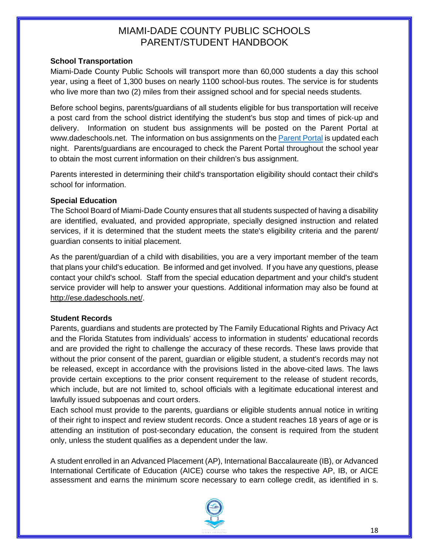### **School Transportation**

Miami-Dade County Public Schools will transport more than 60,000 students a day this school year, using a fleet of 1,300 buses on nearly 1100 school-bus routes. The service is for students who live more than two (2) miles from their assigned school and for special needs students.

Before school begins, parents/guardians of all students eligible for bus transportation will receive a post card from the school district identifying the student's bus stop and times of pick-up and delivery. Information on student bus assignments will be posted on the Parent Portal at www.dadeschools.net. The information on bus assignments on the **Parent Portal** is updated each night. Parents/guardians are encouraged to check the Parent Portal throughout the school year to obtain the most current information on their children's bus assignment.

Parents interested in determining their child's transportation eligibility should contact their child's school for information.

### **Special Education**

The School Board of Miami-Dade County ensures that all students suspected of having a disability are identified, evaluated, and provided appropriate, specially designed instruction and related services, if it is determined that the student meets the state's eligibility criteria and the parent/ guardian consents to initial placement.

As the parent/guardian of a child with disabilities, you are a very important member of the team that plans your child's education. Be informed and get involved. If you have any questions, please contact your child's school. Staff from the special education department and your child's student service provider will help to answer your questions. Additional information may also be found at [http://ese.dadeschools.net/.](http://ese.dadeschools.net/)

#### **Student Records**

Parents, guardians and students are protected by The Family Educational Rights and Privacy Act and the Florida Statutes from individuals' access to information in students' educational records and are provided the right to challenge the accuracy of these records. These laws provide that without the prior consent of the parent, guardian or eligible student, a student's records may not be released, except in accordance with the provisions listed in the above-cited laws. The laws provide certain exceptions to the prior consent requirement to the release of student records, which include, but are not limited to, school officials with a legitimate educational interest and lawfully issued subpoenas and court orders.

Each school must provide to the parents, guardians or eligible students annual notice in writing of their right to inspect and review student records. Once a student reaches 18 years of age or is attending an institution of post-secondary education, the consent is required from the student only, unless the student qualifies as a dependent under the law.

A student enrolled in an Advanced Placement (AP), International Baccalaureate (IB), or Advanced International Certificate of Education (AICE) course who takes the respective AP, IB, or AICE assessment and earns the minimum score necessary to earn college credit, as identified in s.

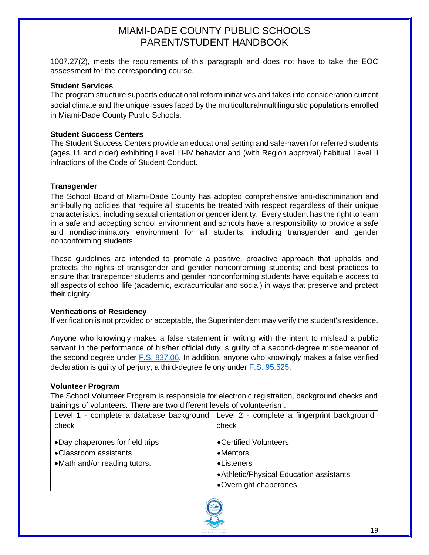1007.27(2), meets the requirements of this paragraph and does not have to take the EOC assessment for the corresponding course.

#### **Student Services**

The program structure supports educational reform initiatives and takes into consideration current social climate and the unique issues faced by the multicultural/multilinguistic populations enrolled in Miami-Dade County Public Schools.

### **Student Success Centers**

The Student Success Centers provide an educational setting and safe-haven for referred students (ages 11 and older) exhibiting Level III-IV behavior and (with Region approval) habitual Level II infractions of the Code of Student Conduct.

### **Transgender**

The School Board of Miami-Dade County has adopted comprehensive anti-discrimination and anti-bullying policies that require all students be treated with respect regardless of their unique characteristics, including sexual orientation or gender identity. Every student has the right to learn in a safe and accepting school environment and schools have a responsibility to provide a safe and nondiscriminatory environment for all students, including transgender and gender nonconforming students.

These guidelines are intended to promote a positive, proactive approach that upholds and protects the rights of transgender and gender nonconforming students; and best practices to ensure that transgender students and gender nonconforming students have equitable access to all aspects of school life (academic, extracurricular and social) in ways that preserve and protect their dignity.

#### **Verifications of Residency**

If verification is not provided or acceptable, the Superintendent may verify the student's residence.

Anyone who knowingly makes a false statement in writing with the intent to mislead a public servant in the performance of his/her official duty is guilty of a second-degree misdemeanor of the second degree under [F.S. 837.06.](http://www.leg.state.fl.us/statutes/index.cfm?mode=View%20Statutes&SubMenu=1&App_mode=Display_Statute&Search_String=F.S.+837.06&URL=0800-0899/0837/Sections/0837.06.html) In addition, anyone who knowingly makes a false verified declaration is guilty of perjury, a third-degree felony under [F.S. 95.525.](http://www.leg.state.fl.us/statutes/index.cfm?App_mode=Display_Statute&URL=0000-0099/0092/Sections/0092.525.html)

#### **Volunteer Program**

The School Volunteer Program is responsible for electronic registration, background checks and trainings of volunteers. There are two different levels of volunteerism.

|                                  | Level 1 - complete a database background   Level 2 - complete a fingerprint background |
|----------------------------------|----------------------------------------------------------------------------------------|
| check                            | check                                                                                  |
|                                  |                                                                                        |
| • Day chaperones for field trips | •Certified Volunteers                                                                  |
| • Classroom assistants           | $\bullet$ Mentors                                                                      |
| • Math and/or reading tutors.    | • Listeners                                                                            |
|                                  | • Athletic/Physical Education assistants                                               |
|                                  | •Overnight chaperones.                                                                 |

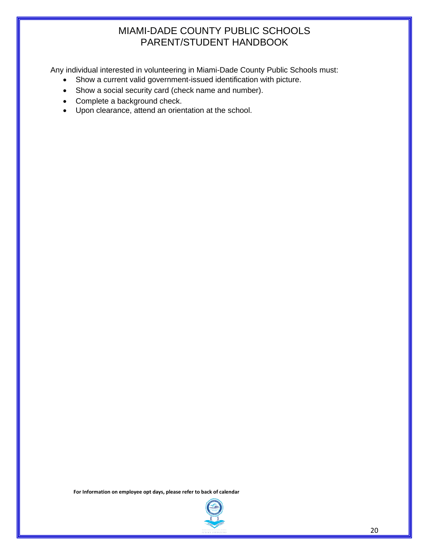Any individual interested in volunteering in Miami-Dade County Public Schools must:

- Show a current valid government-issued identification with picture.
- Show a social security card (check name and number).
- Complete a background check.
- Upon clearance, attend an orientation at the school.

**For Information on employee opt days, please refer to back of calendar**

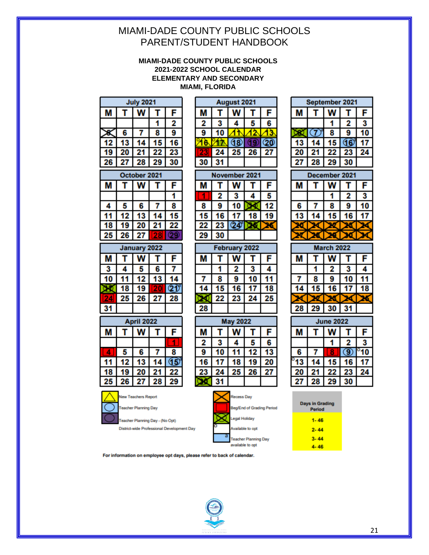#### **MIAMI-DADE COUNTY PUBLIC SCHOOLS 2021-2022 SCHOOL CALENDAR ELEMENTARY AND SECONDARY MIAMI, FLORIDA**

| <b>July 2021</b> |                |    |   |    |
|------------------|----------------|----|---|----|
|                  |                |    |   | F  |
|                  |                |    |   | 2  |
|                  | Բ              |    | ጸ | q  |
|                  |                |    |   | R  |
|                  | 2              |    |   | 23 |
|                  | $\overline{2}$ | 28 |   |    |
|                  |                |    |   |    |

| October 2021 |    |    |  |    |  |  |
|--------------|----|----|--|----|--|--|
|              | F  |    |  |    |  |  |
|              |    |    |  |    |  |  |
|              | 5  | 6  |  | 8  |  |  |
|              | 12 |    |  |    |  |  |
|              |    | 2) |  | 22 |  |  |
| 2:           | 26 | 27 |  |    |  |  |

| January 2022 |    |    |    |    |  |  |  |
|--------------|----|----|----|----|--|--|--|
|              |    | F  |    |    |  |  |  |
| 3            |    | 5  | 6  |    |  |  |  |
|              |    | 12 |    |    |  |  |  |
|              | 18 | 9  |    |    |  |  |  |
|              | 25 | 26 | 27 | 28 |  |  |  |
|              |    |    |    |    |  |  |  |
|              |    |    |    |    |  |  |  |

| ,,, |    |    |             |    |
|-----|----|----|-------------|----|
|     |    |    |             | Ξ  |
|     |    |    |             |    |
|     | 5  | 6  |             | R  |
|     | 12 |    |             |    |
|     |    |    | $2^{\circ}$ | 22 |
| 25  | 26 | 27 | 28          | 29 |



**Teacher Planning Day** Teacher Planning Day - (No Opt)



August 2021

| 8  |    |  |    | 12 |
|----|----|--|----|----|
| 15 | 16 |  | 18 | 9  |
| 22 | 23 |  |    |    |
| 29 | 30 |  |    |    |
|    |    |  |    |    |

| February 2022 |    |    |    |    |
|---------------|----|----|----|----|
|               |    |    |    | F  |
|               |    | 2  |    | 4  |
|               | 8  | ۹  |    |    |
|               |    | 16 |    |    |
|               | 22 | 23 | 24 | 25 |
| 28            |    |    |    |    |

|   | <b>y 2022</b><br>Ma |    |    |    |  |  |
|---|---------------------|----|----|----|--|--|
|   |                     |    |    | F  |  |  |
| 2 |                     |    |    | 6  |  |  |
|   |                     |    |    |    |  |  |
|   |                     | 18 |    | 20 |  |  |
|   | 24                  | 25 | 26 | 27 |  |  |
|   |                     |    |    |    |  |  |



| М  | т     | W                 | T    | F             |
|----|-------|-------------------|------|---------------|
|    |       | 1                 | 2    | 3             |
|    | 7     | 8                 | 9    | 10            |
| 13 | 14    | 15                | 16   | 17            |
| 20 | 21    | 22                | 23   | 24            |
| 27 | 28    | 29                | 30   |               |
|    | Decen | nber              | 2021 |               |
| М  |       |                   |      | F             |
|    |       | 1                 | 2    | 3             |
| 6  | 7     | 8                 | 9    | 10            |
| 13 | 14    | 15                | 16   | 7             |
| и  |       |                   |      | 1             |
|    |       |                   |      |               |
|    |       | <b>March 2022</b> |      |               |
| М  | Т     | N                 | т    | F             |
|    | 1     | 2                 | 3    | 4             |
| 7  | 8     | 9                 | 10   | 11            |
| 14 | 15    | 16                | 17   | 18            |
|    |       |                   |      | 26            |
| 28 | 29    | 30                | 31   |               |
|    |       | <b>June 2022</b>  |      |               |
| M  |       | W                 |      | F             |
|    |       |                   |      | 3             |
| 6  | 7     |                   | 9    | $^{\circ}$ 10 |
| 13 | 14    | 15                | 6    | 17            |
| 20 | 21    | 22                | 23   | 24            |
|    | 28    | 29                | 30   |               |
|    |       |                   |      |               |

September 2021

| <b>Days in Grading</b><br><b>Period</b> |
|-----------------------------------------|
| $1 - 46$                                |
| $2 - 44$                                |
| $3 - 44$                                |
| 4-46                                    |

For information on employee opt days, please refer to back of calendar.

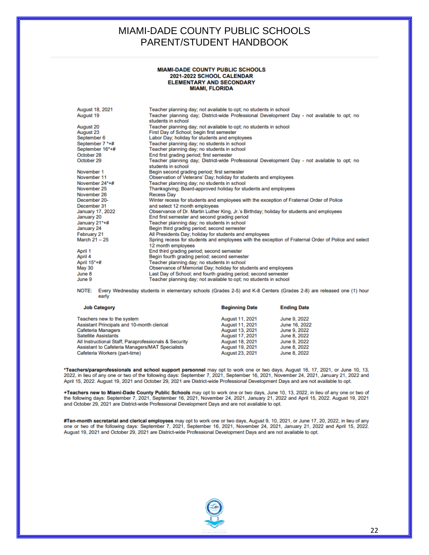#### **MIAMI-DADE COUNTY PUBLIC SCHOOLS** 2021-2022 SCHOOL CALENDAR ELEMENTARY AND SECONDARY **MIAMI, FLORIDA**

| August 18, 2021  | Teacher planning day; not available to opt; no students in school                                                         |
|------------------|---------------------------------------------------------------------------------------------------------------------------|
| August 19        | Teacher planning day; District-wide Professional Development Day - not available to opt; no<br>students in school         |
| August 20        | Teacher planning day; not available to opt; no students in school                                                         |
| August 23        | First Day of School; begin first semester                                                                                 |
| September 6      | Labor Day; holiday for students and employees                                                                             |
| September 7 *+#  | Teacher planning day: no students in school                                                                               |
| September 16*+#  | Teacher planning day; no students in school                                                                               |
| October 28       | End first grading period; first semester                                                                                  |
| October 29       | Teacher planning day; District-wide Professional Development Day - not available to opt; no<br>students in school         |
| November 1       | Begin second grading period; first semester                                                                               |
| November 11      | Observation of Veterans' Day; holiday for students and employees                                                          |
| November 24*+#   | Teacher planning day; no students in school                                                                               |
| November 25      | Thanksgiving; Board-approved holiday for students and employees                                                           |
| November 26      | <b>Recess Day</b>                                                                                                         |
| December 20-     | Winter recess for students and employees with the exception of Fraternal Order of Police                                  |
| December 31      | and select 12 month employees                                                                                             |
| January 17, 2022 | Observance of Dr. Martin Luther King, Jr.'s Birthday; holiday for students and employees                                  |
| January 20       | End first semester and second grading period                                                                              |
| January 21*+#    | Teacher planning day; no students in school                                                                               |
| January 24       | Begin third grading period; second semester                                                                               |
| February 21      | All Presidents Day; holiday for students and employees                                                                    |
| March 21 - 25    | Spring recess for students and employees with the exception of Fraternal Order of Police and select<br>12 month employees |
| April 1          | End third grading period; second semester                                                                                 |
| April 4          | Begin fourth grading period; second semester                                                                              |
| April 15*+#      | Teacher planning day; no students in school                                                                               |
| May 30           | Observance of Memorial Day; holiday for students and employees                                                            |
| June 8           | Last Day of School; end fourth grading period; second semester                                                            |
| June 9           | Teacher planning day; not available to opt; no students in school                                                         |
|                  |                                                                                                                           |

NOTE: Every Wednesday students in elementary schools (Grades 2-5) and K-8 Centers (Grades 2-8) are released one (1) hour early

| <b>Job Category</b>                                   | <b>Beginning Date</b> | <b>Ending Date</b> |
|-------------------------------------------------------|-----------------------|--------------------|
| Teachers new to the system                            | August 11, 2021       | June 9, 2022       |
| Assistant Principals and 10-month clerical            | August 11, 2021       | June 16, 2022      |
| Cafeteria Managers                                    | August 13, 2021       | June 9, 2022       |
| <b>Satellite Assistants</b>                           | August 17, 2021       | June 8, 2022       |
| All Instructional Staff, Paraprofessionals & Security | August 18, 2021       | June 9, 2022       |
| Assistant to Cafeteria Managers/MAT Specialists       | August 19, 2021       | June 8, 2022       |
| Cafeteria Workers (part-time)                         | August 23, 2021       | June 8, 2022       |

\*Teachers/paraprofessionals and school support personnel may opt to work one or two days, August 16, 17, 2021, or June 10, 13, 2022, in lieu of any one or two of the following days: September 7, 2021, September 16, 2021, November 24, 2021, January 21, 2022 and April 15, 2022. August 19, 2021 and October 29, 2021 are District-wide Professional Development Days and are not available to opt.

+Teachers new to Miami-Dade County Public Schools may opt to work one or two days, June 10, 13, 2022, in lieu of any one or two of<br>the following days: September 7, 2021, September 16, 2021, November 24, 2021, January 21, 2 and October 29, 2021 are District-wide Professional Development Days and are not available to opt.

#Ten-month secretarial and clerical employees may opt to work one or two days, August 9, 10, 2021, or June 17, 20, 2022, in lieu of any<br>one or two of the following days: September 7, 2021, September 16, 2021, November 24, August 19, 2021 and October 29, 2021 are District-wide Professional Development Days and are not available to opt.

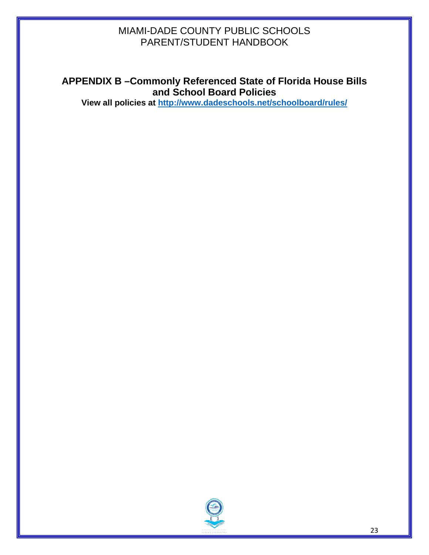# **APPENDIX B –Commonly Referenced State of Florida House Bills and School Board Policies**

**View all policies at <http://www.dadeschools.net/schoolboard/rules/>**

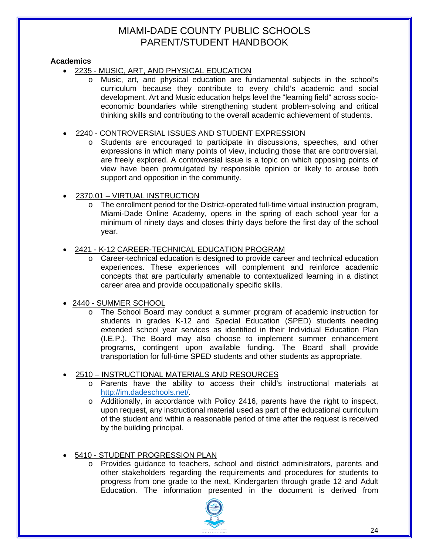# **Academics**

- 2235 [MUSIC, ART, AND PHYSICAL EDUCATION](http://www.neola.com/miamidade-fl/search/policies/po2235.htm)
	- o Music, art, and physical education are fundamental subjects in the school's curriculum because they contribute to every child's academic and social development. Art and Music education helps level the "learning field" across socioeconomic boundaries while strengthening student problem-solving and critical thinking skills and contributing to the overall academic achievement of students.

# • 2240 - [CONTROVERSIAL ISSUES AND STUDENT EXPRESSION](http://www.neola.com/miamidade-fl/search/policies/po2240.htm)

- o Students are encouraged to participate in discussions, speeches, and other expressions in which many points of view, including those that are controversial, are freely explored. A controversial issue is a topic on which opposing points of view have been promulgated by responsible opinion or likely to arouse both support and opposition in the community.
- 2370.01 [VIRTUAL INSTRUCTION](http://www.neola.com/miamidade-fl/search/policies/po2370.01.htm)
	- o The enrollment period for the District-operated full-time virtual instruction program, Miami-Dade Online Academy, opens in the spring of each school year for a minimum of ninety days and closes thirty days before the first day of the school year.

### • 2421 - [K-12 CAREER-TECHNICAL EDUCATION PROGRAM](http://www.neola.com/miamidade-fl/search/policies/po2421.htm)

- Career-technical education is designed to provide career and technical education experiences. These experiences will complement and reinforce academic concepts that are particularly amenable to contextualized learning in a distinct career area and provide occupationally specific skills.
- 2440 [SUMMER SCHOOL](http://www.neola.com/miamidade-fl/search/policies/po2440.htm)
	- The School Board may conduct a summer program of academic instruction for students in grades K-12 and Special Education (SPED) students needing extended school year services as identified in their Individual Education Plan (I.E.P.). The Board may also choose to implement summer enhancement programs, contingent upon available funding. The Board shall provide transportation for full-time SPED students and other students as appropriate.

# • 2510 – [INSTRUCTIONAL MATERIALS AND RESOURCES](http://www.neola.com/miamidade-fl/search/policies/po2510.htm)

- o Parents have the ability to access their child's instructional materials at [http://im.dadeschools.net/.](http://im.dadeschools.net/)
- o Additionally, in accordance with Policy 2416, parents have the right to inspect, upon request, any instructional material used as part of the educational curriculum of the student and within a reasonable period of time after the request is received by the building principal.

# • 5410 - [STUDENT PROGRESSION PLAN](http://www.neola.com/miamidade-fl/search/policies/po5410.htm)

Provides guidance to teachers, school and district administrators, parents and other stakeholders regarding the requirements and procedures for students to progress from one grade to the next, Kindergarten through grade 12 and Adult Education. The information presented in the document is derived from

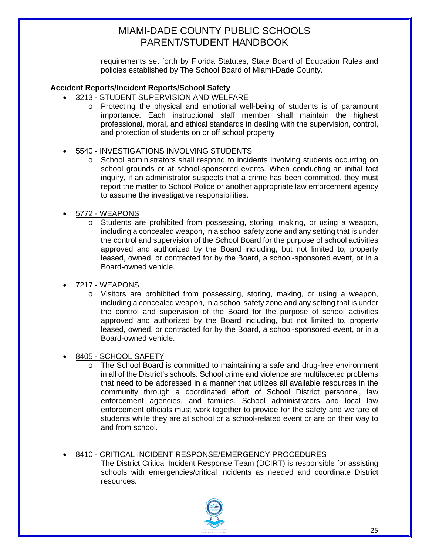requirements set forth by Florida Statutes, State Board of Education Rules and policies established by The School Board of Miami-Dade County.

### **Accident Reports/Incident Reports/School Safety**

- 3213 [STUDENT SUPERVISION AND WELFARE](http://www.neola.com/miamidade-fl/search/policies/po3213.htm)
	- o Protecting the physical and emotional well-being of students is of paramount importance. Each instructional staff member shall maintain the highest professional, moral, and ethical standards in dealing with the supervision, control, and protection of students on or off school property

### • 5540 - [INVESTIGATIONS INVOLVING STUDENTS](http://www.neola.com/miamidade-fl/search/policies/po5540.htm)

- o School administrators shall respond to incidents involving students occurring on school grounds or at school-sponsored events. When conducting an initial fact inquiry, if an administrator suspects that a crime has been committed, they must report the matter to School Police or another appropriate law enforcement agency to assume the investigative responsibilities.
- 5772 [WEAPONS](http://www.neola.com/miamidade-fl/search/policies/po5772.htm)
	- o Students are prohibited from possessing, storing, making, or using a weapon, including a concealed weapon, in a school safety zone and any setting that is under the control and supervision of the School Board for the purpose of school activities approved and authorized by the Board including, but not limited to, property leased, owned, or contracted for by the Board, a school-sponsored event, or in a Board-owned vehicle.
- 7217 [WEAPONS](http://www.neola.com/miamidade-fl/search/policies/po7217.htm)
	- o Visitors are prohibited from possessing, storing, making, or using a weapon, including a concealed weapon, in a school safety zone and any setting that is under the control and supervision of the Board for the purpose of school activities approved and authorized by the Board including, but not limited to, property leased, owned, or contracted for by the Board, a school-sponsored event, or in a Board-owned vehicle.
- 8405 [SCHOOL SAFETY](http://www.neola.com/miamidade-fl/search/policies/po8405.htm)
	- o The School Board is committed to maintaining a safe and drug-free environment in all of the District's schools. School crime and violence are multifaceted problems that need to be addressed in a manner that utilizes all available resources in the community through a coordinated effort of School District personnel, law enforcement agencies, and families. School administrators and local law enforcement officials must work together to provide for the safety and welfare of students while they are at school or a school-related event or are on their way to and from school.
- 8410 [CRITICAL INCIDENT RESPONSE/EMERGENCY PROCEDURES](http://www.neola.com/miamidade-fl/search/policies/po8410.htm)

The District Critical Incident Response Team (DCIRT) is responsible for assisting schools with emergencies/critical incidents as needed and coordinate District resources.

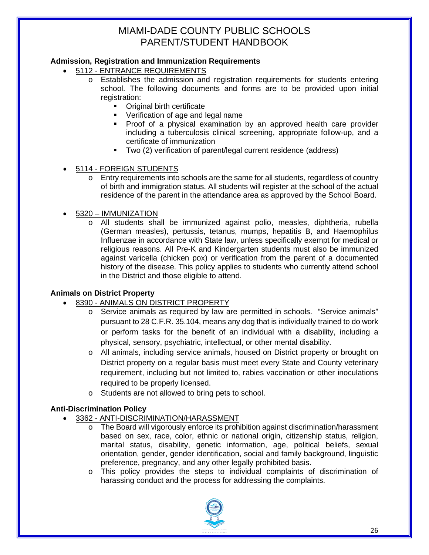# **Admission, Registration and Immunization Requirements**

- 5112 [ENTRANCE REQUIREMENTS](http://www.neola.com/miamidade-fl/search/policies/po5112.htm)
	- Establishes the admission and registration requirements for students entering school. The following documents and forms are to be provided upon initial registration:
		- **•** [Original birth certificate](http://attendanceservices.dadeschools.net/pdfs16/Birth-Age-Name_verification.pdf)
		- **•** [Verification of age and legal name](http://attendanceservices.dadeschools.net/pdfs16/Birth-Age-Name_verification.pdf)
		- **Proof of a physical examination by an approved health care provider** including a tuberculosis clinical screening, appropriate follow-up, and a [certificate of immunization](http://attendanceservices.dadeschools.net/pdfs16/immun_reqs.pdf)
		- Two (2) [verification of parent/legal current residence](http://attendanceservices.dadeschools.net/pdfs/proof-address.pdf) (address)
- 5114 [FOREIGN STUDENTS](http://www.neola.com/miamidade-fl/search/policies/po5114.htm)
	- o Entry requirements into schools are the same for all students, regardless of country of birth and immigration status. All students will register at the school of the actual residence of the parent in the attendance area as approved by the School Board.
- 5320 [IMMUNIZATION](http://www.neola.com/miamidade-fl/search/policies/po5320.htm)
	- o All students shall be immunized against polio, measles, diphtheria, rubella (German measles), pertussis, tetanus, mumps, hepatitis B, and Haemophilus Influenzae in accordance with State law, unless specifically exempt for medical or religious reasons. All Pre-K and Kindergarten students must also be immunized against varicella (chicken pox) or verification from the parent of a documented history of the disease. This policy applies to students who currently attend school in the District and those eligible to attend.

# **Animals on District Property**

- 8390 [ANIMALS ON DISTRICT PROPERTY](http://www.neola.com/miamidade-fl/search/policies/po8390.htm)
	- o Service animals as required by law are permitted in schools. "Service animals" pursuant to 28 C.F.R. 35.104, means any dog that is individually trained to do work or perform tasks for the benefit of an individual with a disability, including a physical, sensory, psychiatric, intellectual, or other mental disability.
	- o All animals, including service animals, housed on District property or brought on District property on a regular basis must meet every State and County veterinary requirement, including but not limited to, rabies vaccination or other inoculations required to be properly licensed.
	- o Students are not allowed to bring pets to school.

# **Anti-Discrimination Policy**

- 3362 [ANTI-DISCRIMINATION/HARASSMENT](http://www.neola.com/miamidade-fl/search/policies/po3362.htm)
	- o The Board will vigorously enforce its prohibition against discrimination/harassment based on sex, race, color, ethnic or national origin, citizenship status, religion, marital status, disability, genetic information, age, political beliefs, sexual orientation, gender, gender identification, social and family background, linguistic preference, pregnancy, and any other legally prohibited basis.
	- o This policy provides the steps to individual complaints of discrimination of harassing conduct and the process for addressing the complaints.

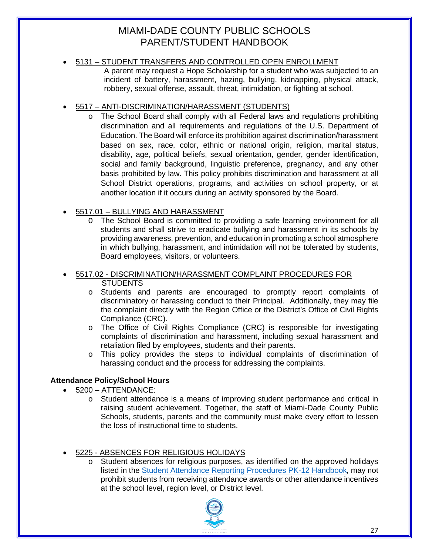# • 5131 – [STUDENT TRANSFERS AND CONTROLLED OPEN ENROLLMENT](http://www.neola.com/miamidade-fl/search/policies/po5131.htm)

A parent may request a Hope Scholarship for a student who was subjected to an incident of battery, harassment, hazing, bullying, kidnapping, physical attack, robbery, sexual offense, assault, threat, intimidation, or fighting at school.

# • 5517 – [ANTI-DISCRIMINATION/HARASSMENT \(STUDENTS\)](http://www.neola.com/miamidade-fl/search/policies/po5517.htm)

The School Board shall comply with all Federal laws and regulations prohibiting discrimination and all requirements and regulations of the U.S. Department of Education. The Board will enforce its prohibition against discrimination/harassment based on sex, race, color, ethnic or national origin, religion, marital status, disability, age, political beliefs, sexual orientation, gender, gender identification, social and family background, linguistic preference, pregnancy, and any other basis prohibited by law. This policy prohibits discrimination and harassment at all School District operations, programs, and activities on school property, or at another location if it occurs during an activity sponsored by the Board.

# • 5517.01 – [BULLYING AND HARASSMENT](http://www.neola.com/miamidade-fl/search/policies/po5517.01.htm)

- O The School Board is committed to providing a safe learning environment for all students and shall strive to eradicate bullying and harassment in its schools by providing awareness, prevention, and education in promoting a school atmosphere in which bullying, harassment, and intimidation will not be tolerated by students, Board employees, visitors, or volunteers.
- 5517.02 [DISCRIMINATION/HARASSMENT COMPLAINT PROCEDURES FOR](http://www.neola.com/miamidade-fl/search/policies/po5517.02.htm)  **STUDENTS** 
	- o Students and parents are encouraged to promptly report complaints of discriminatory or harassing conduct to their Principal. Additionally, they may file the complaint directly with the Region Office or the District's Office of Civil Rights Compliance (CRC).
	- o The Office of Civil Rights Compliance (CRC) is responsible for investigating complaints of discrimination and harassment, including sexual harassment and retaliation filed by employees, students and their parents.
	- $\circ$  This policy provides the steps to individual complaints of discrimination of harassing conduct and the process for addressing the complaints.

# **Attendance Policy/School Hours**

- 5200 [ATTENDANCE:](http://www.neola.com/miamidade-fl/search/policies/po5200.htm)
	- o Student attendance is a means of improving student performance and critical in raising student achievement. Together, the staff of Miami-Dade County Public Schools, students, parents and the community must make every effort to lessen the loss of instructional time to students.

# • 5225 - [ABSENCES FOR RELIGIOUS HOLIDAYS](http://www.neola.com/miamidade-fl/search/policies/po5225.htm)

o Student absences for religious purposes, as identified on the approved holidays listed in the [Student Attendance Reporting Procedures PK-12 Handbook](http://ehandbooks.dadeschools.net/policies/89.pdf)*,* may not prohibit students from receiving attendance awards or other attendance incentives at the school level, region level, or District level.

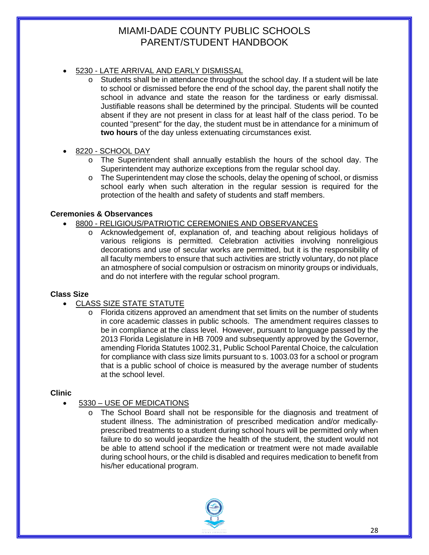- 5230 [LATE ARRIVAL AND EARLY DISMISSAL](http://www.neola.com/miamidade-fl/search/policies/po5230.htm)
	- Students shall be in attendance throughout the school day. If a student will be late to school or dismissed before the end of the school day, the parent shall notify the school in advance and state the reason for the tardiness or early dismissal. Justifiable reasons shall be determined by the principal. Students will be counted absent if they are not present in class for at least half of the class period. To be counted "present" for the day, the student must be in attendance for a minimum of **two hours** of the day unless extenuating circumstances exist.
- 8220 [SCHOOL DAY](http://www.neola.com/miamidade-fl/search/policies/po8220.htm)
	- o The Superintendent shall annually establish the hours of the school day. The Superintendent may authorize exceptions from the regular school day.
	- $\circ$  The Superintendent may close the schools, delay the opening of school, or dismiss school early when such alteration in the regular session is required for the protection of the health and safety of students and staff members.

### **Ceremonies & Observances**

- 8800 [RELIGIOUS/PATRIOTIC CEREMONIES AND OBSERVANCES](http://www.neola.com/miamidade-fl/search/policies/po8800.htm)
	- o Acknowledgement of, explanation of, and teaching about religious holidays of various religions is permitted. Celebration activities involving nonreligious decorations and use of secular works are permitted, but it is the responsibility of all faculty members to ensure that such activities are strictly voluntary, do not place an atmosphere of social compulsion or ostracism on minority groups or individuals, and do not interfere with the regular school program.

#### **Class Size**

# • [CLASS SIZE STATE STATUTE](http://www.leg.state.fl.us/statutes/index.cfm?App_mode=Display_Statute&URL=1000-1099/1003/Sections/1003.03.html)

 $\circ$  Florida citizens approved an amendment that set limits on the number of students in core academic classes in public schools. The amendment requires classes to be in compliance at the class level. However, pursuant to language passed by the 2013 Florida Legislature in HB 7009 and subsequently approved by the Governor, amending Florida Statutes 1002.31, Public School Parental Choice, the calculation for compliance with class size limits pursuant to s. 1003.03 for a school or program that is a public school of choice is measured by the average number of students at the school level.

#### **Clinic**

- 5330 [USE OF MEDICATIONS](http://www.neola.com/miamidade-fl/search/policies/po5330.htm)
	- o The School Board shall not be responsible for the diagnosis and treatment of student illness. The administration of prescribed medication and/or medicallyprescribed treatments to a student during school hours will be permitted only when failure to do so would jeopardize the health of the student, the student would not be able to attend school if the medication or treatment were not made available during school hours, or the child is disabled and requires medication to benefit from his/her educational program.

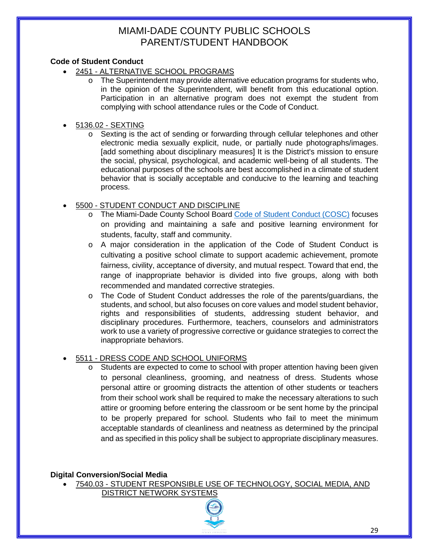# **Code of Student Conduct**

- 2451 [ALTERNATIVE SCHOOL PROGRAMS](http://www.neola.com/miamidade-fl/search/policies/po2451.htm)
	- The Superintendent may provide alternative education programs for students who, in the opinion of the Superintendent, will benefit from this educational option. Participation in an alternative program does not exempt the student from complying with school attendance rules or the Code of Conduct.

### • 5136.02 - [SEXTING](http://www.neola.com/miamidade-fl/search/policies/po5136.02.htm)

o Sexting is the act of sending or forwarding through cellular telephones and other electronic media sexually explicit, nude, or partially nude photographs/images. [add something about disciplinary measures] It is the District's mission to ensure the social, physical, psychological, and academic well-being of all students. The educational purposes of the schools are best accomplished in a climate of student behavior that is socially acceptable and conducive to the learning and teaching process.

# • 5500 - [STUDENT CONDUCT AND DISCIPLINE](http://www.neola.com/miamidade-fl/search/policies/po5500.htm)

- o The Miami-Dade County School Board [Code of Student Conduct \(COSC\)](http://ehandbooks.dadeschools.net/policies/90/) focuses on providing and maintaining a safe and positive learning environment for students, faculty, staff and community.
- o A major consideration in the application of the Code of Student Conduct is cultivating a positive school climate to support academic achievement, promote fairness, civility, acceptance of diversity, and mutual respect. Toward that end, the range of inappropriate behavior is divided into five groups, along with both recommended and mandated corrective strategies.
- o The Code of Student Conduct addresses the role of the parents/guardians, the students, and school, but also focuses on core values and model student behavior, rights and responsibilities of students, addressing student behavior, and disciplinary procedures. Furthermore, teachers, counselors and administrators work to use a variety of progressive corrective or guidance strategies to correct the inappropriate behaviors.

# • 5511 - [DRESS CODE AND SCHOOL UNIFORMS](http://www.neola.com/miamidade-fl/search/policies/po5511.htm)

 $\circ$  Students are expected to come to school with proper attention having been given to personal cleanliness, grooming, and neatness of dress. Students whose personal attire or grooming distracts the attention of other students or teachers from their school work shall be required to make the necessary alterations to such attire or grooming before entering the classroom or be sent home by the principal to be properly prepared for school. Students who fail to meet the minimum acceptable standards of cleanliness and neatness as determined by the principal and as specified in this policy shall be subject to appropriate disciplinary measures.

#### **Digital Conversion/Social Media**

- 7540.03 [STUDENT RESPONSIBLE USE OF TECHNOLOGY, SOCIAL MEDIA, AND](http://www.neola.com/miamidade-fl/search/policies/po7540.03.htm) 
	- [DISTRICT NETWORK SYSTEMS](http://www.neola.com/miamidade-fl/search/policies/po7540.03.htm)

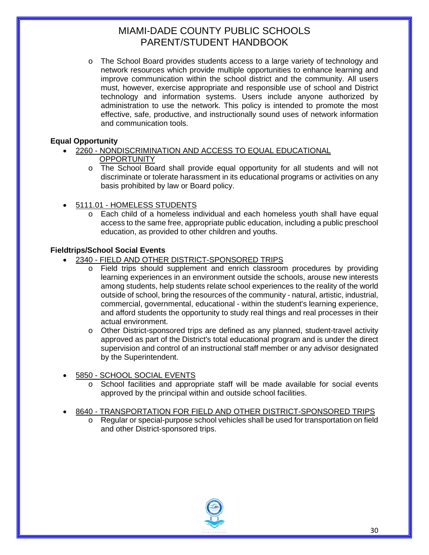o The School Board provides students access to a large variety of technology and network resources which provide multiple opportunities to enhance learning and improve communication within the school district and the community. All users must, however, exercise appropriate and responsible use of school and District technology and information systems. Users include anyone authorized by administration to use the network. This policy is intended to promote the most effective, safe, productive, and instructionally sound uses of network information and communication tools.

# **Equal Opportunity**

- 2260 [NONDISCRIMINATION AND ACCESS TO EQUAL EDUCATIONAL](http://www.neola.com/miamidade-fl/search/policies/po2260.htm) 
	- **OPPORTUNITY**
	- o The School Board shall provide equal opportunity for all students and will not discriminate or tolerate harassment in its educational programs or activities on any basis prohibited by law or Board policy.
- 5111.01 [HOMELESS STUDENTS](http://www.neola.com/miamidade-fl/search/policies/po5111.01.htm)
	- o Each child of a homeless individual and each homeless youth shall have equal access to the same free, appropriate public education, including a public preschool education, as provided to other children and youths.

# **Fieldtrips/School Social Events**

- 2340 [FIELD AND OTHER DISTRICT-SPONSORED TRIPS](http://www.neola.com/miamidade-fl/search/policies/po2340.htm)
	- o Field trips should supplement and enrich classroom procedures by providing learning experiences in an environment outside the schools, arouse new interests among students, help students relate school experiences to the reality of the world outside of school, bring the resources of the community - natural, artistic, industrial, commercial, governmental, educational - within the student's learning experience, and afford students the opportunity to study real things and real processes in their actual environment.
	- $\circ$  Other District-sponsored trips are defined as any planned, student-travel activity approved as part of the District's total educational program and is under the direct supervision and control of an instructional staff member or any advisor designated by the Superintendent.
- 5850 [SCHOOL SOCIAL EVENTS](http://www.neola.com/miamidade-fl/search/policies/po5850.htm)
	- o School facilities and appropriate staff will be made available for social events approved by the principal within and outside school facilities.

#### • 8640 - [TRANSPORTATION FOR FIELD AND OTHER DISTRICT-SPONSORED TRIPS](http://www.neola.com/miamidade-fl/search/policies/po8640.htm)

o Regular or special-purpose school vehicles shall be used for transportation on field and other District-sponsored trips.

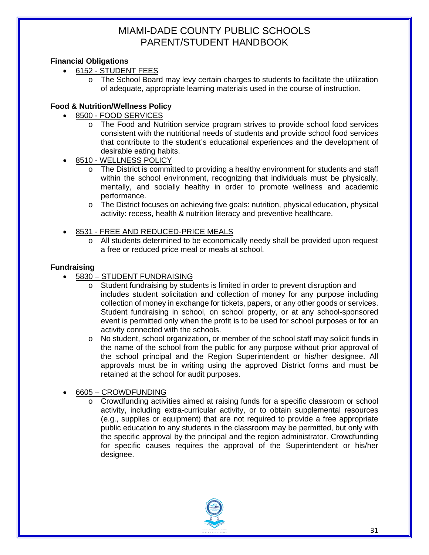# **Financial Obligations**

- 6152 [STUDENT FEES](http://www.neola.com/miamidade-fl/search/policies/po6152.htm)
	- o The School Board may levy certain charges to students to facilitate the utilization of adequate, appropriate learning materials used in the course of instruction.

# **Food & Nutrition/Wellness Policy**

- 8500 [FOOD SERVICES](http://www.neola.com/miamidade-fl/search/policies/po8500.htm)
	- o The Food and Nutrition service program strives to provide school food services consistent with the nutritional needs of students and provide school food services that contribute to the student's educational experiences and the development of desirable eating habits.
- 8510 [WELLNESS POLICY](http://www.neola.com/miamidade-fl/search/policies/po8510.htm)
	- o The District is committed to providing a healthy environment for students and staff within the school environment, recognizing that individuals must be physically, mentally, and socially healthy in order to promote wellness and academic performance.
	- o The District focuses on achieving five goals: nutrition, physical education, physical activity: recess, health & nutrition literacy and preventive healthcare.
- 8531 [FREE AND REDUCED-PRICE MEALS](http://www.neola.com/miamidade-fl/search/policies/po8531.htm) 
	- o All students determined to be economically needy shall be provided upon request a free or reduced price meal or meals at school.

# **Fundraising**

- 5830 [STUDENT FUNDRAISING](http://www.neola.com/miamidade-fl/search/policies/po5830.htm)
	- o Student fundraising by students is limited in order to prevent disruption and includes student solicitation and collection of money for any purpose including collection of money in exchange for tickets, papers, or any other goods or services. Student fundraising in school, on school property, or at any school-sponsored event is permitted only when the profit is to be used for school purposes or for an activity connected with the schools.
	- $\circ$  No student, school organization, or member of the school staff may solicit funds in the name of the school from the public for any purpose without prior approval of the school principal and the Region Superintendent or his/her designee. All approvals must be in writing using the approved District forms and must be retained at the school for audit purposes.
- 6605 [CROWDFUNDING](http://www.neola.com/miamidade-fl/search/policies/po6605.htm)
	- o Crowdfunding activities aimed at raising funds for a specific classroom or school activity, including extra-curricular activity, or to obtain supplemental resources (e.g., supplies or equipment) that are not required to provide a free appropriate public education to any students in the classroom may be permitted, but only with the specific approval by the principal and the region administrator. Crowdfunding for specific causes requires the approval of the Superintendent or his/her designee.

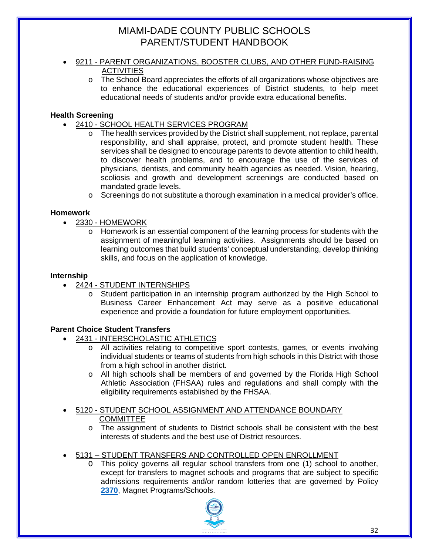- 9211 PARENT ORGANIZATIONS, BOOSTER CLUBS, AND OTHER FUND-RAISING **ACTIVITIES** 
	- o The School Board appreciates the efforts of all organizations whose objectives are to enhance the educational experiences of District students, to help meet educational needs of students and/or provide extra educational benefits.

# **Health Screening**

- 2410 [SCHOOL HEALTH SERVICES PROGRAM](http://www.neola.com/miamidade-fl/search/policies/po2410.htm)
	- $\circ$  The health services provided by the District shall supplement, not replace, parental responsibility, and shall appraise, protect, and promote student health. These services shall be designed to encourage parents to devote attention to child health, to discover health problems, and to encourage the use of the services of physicians, dentists, and community health agencies as needed. Vision, hearing, scoliosis and growth and development screenings are conducted based on mandated grade levels.
		- $\circ$  Screenings do not substitute a thorough examination in a medical provider's office.

# **Homework**

- 2330 [HOMEWORK](http://www.neola.com/miamidade-fl/search/policies/po2330.htm)
	- $\circ$  Homework is an essential component of the learning process for students with the assignment of meaningful learning activities. Assignments should be based on learning outcomes that build students' conceptual understanding, develop thinking skills, and focus on the application of knowledge.

# **Internship**

- 2424 [STUDENT INTERNSHIPS](http://www.neola.com/miamidade-fl/search/policies/po2424.htm)
	- Student participation in an internship program authorized by the High School to Business Career Enhancement Act may serve as a positive educational experience and provide a foundation for future employment opportunities.

# **Parent Choice Student Transfers**

- 2431 [INTERSCHOLASTIC ATHLETICS](http://www.neola.com/miamidade-fl/search/policies/po2431.htm)
	- o All activities relating to competitive sport contests, games, or events involving individual students or teams of students from high schools in this District with those from a high school in another district.
	- o All high schools shall be members of and governed by the Florida High School Athletic Association (FHSAA) rules and regulations and shall comply with the eligibility requirements established by the FHSAA.
- 5120 [STUDENT SCHOOL ASSIGNMENT AND ATTENDANCE BOUNDARY](http://www.neola.com/miamidade-fl/search/policies/po5120.htm)  **COMMITTEE** 
	- o The assignment of students to District schools shall be consistent with the best interests of students and the best use of District resources.
- 5131 [STUDENT TRANSFERS AND CONTROLLED OPEN ENROLLMENT](http://www.neola.com/miamidade-fl/search/policies/po5131.htm)
	- O This policy governs all regular school transfers from one (1) school to another, except for transfers to magnet schools and programs that are subject to specific admissions requirements and/or random lotteries that are governed by Policy [2370](http://www.neola.com/miamidade-fl/search/policies/po2370.htm). Magnet Programs/Schools.

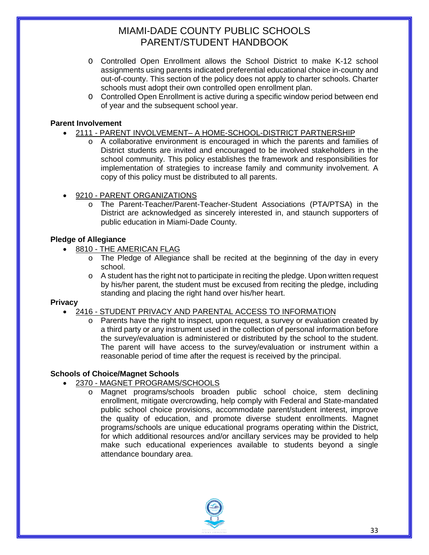- O Controlled Open Enrollment allows the School District to make K-12 school assignments using parents indicated preferential educational choice in-county and out-of-county. This section of the policy does not apply to charter schools. Charter schools must adopt their own controlled open enrollment plan.
- O Controlled Open Enrollment is active during a specific window period between end of year and the subsequent school year.

### **Parent Involvement**

- 2111 PARENT INVOLVEMENT– [A HOME-SCHOOL-DISTRICT PARTNERSHIP](http://www.neola.com/miamidade-fl/search/policies/po2111.htm)
	- $\circ$  A collaborative environment is encouraged in which the parents and families of District students are invited and encouraged to be involved stakeholders in the school community. This policy establishes the framework and responsibilities for implementation of strategies to increase family and community involvement. A copy of this policy must be distributed to all parents.
- 9210 [PARENT ORGANIZATIONS](http://www.neola.com/miamidade-fl/search/policies/po9210.htm)
	- o The Parent-Teacher/Parent-Teacher-Student Associations (PTA/PTSA) in the District are acknowledged as sincerely interested in, and staunch supporters of public education in Miami-Dade County.

### **Pledge of Allegiance**

- 8810 [THE AMERICAN FLAG](http://www.neola.com/miamidade-fl/search/policies/po8810.htm)
	- o The Pledge of Allegiance shall be recited at the beginning of the day in every school.
	- $\circ$  A student has the right not to participate in reciting the pledge. Upon written request by his/her parent, the student must be excused from reciting the pledge, including standing and placing the right hand over his/her heart.

#### **Privac[y](http://www.neola.com/miamidade-fl/search/policies/po2416.htm)**

- 2416 [STUDENT PRIVACY AND PARENTAL ACCESS TO INFORMATION](http://www.neola.com/miamidade-fl/search/policies/po2416.htm)
	- $\circ$  Parents have the right to inspect, upon request, a survey or evaluation created by a third party or any instrument used in the collection of personal information before the survey/evaluation is administered or distributed by the school to the student. The parent will have access to the survey/evaluation or instrument within a reasonable period of time after the request is received by the principal.

#### **Schools of Choice/Magnet Schools**

- 2370 [MAGNET PROGRAMS/SCHOOLS](http://www.neola.com/miamidade-fl/search/policies/po2370.htm)
	- Magnet programs/schools broaden public school choice, stem declining enrollment, mitigate overcrowding, help comply with Federal and State-mandated public school choice provisions, accommodate parent/student interest, improve the quality of education, and promote diverse student enrollments. Magnet programs/schools are unique educational programs operating within the District, for which additional resources and/or ancillary services may be provided to help make such educational experiences available to students beyond a single attendance boundary area.

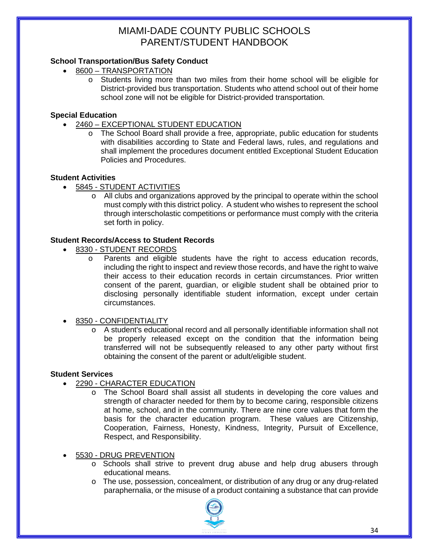# **School Transportation/Bus Safety Conduct**

- 8600 [TRANSPORTATION](http://www.neola.com/miamidade-fl/search/policies/po8600.htm)
	- o Students living more than two miles from their home school will be eligible for District-provided bus transportation. Students who attend school out of their home school zone will not be eligible for District-provided transportation.

### **Special Education**

- 2460 [EXCEPTIONAL STUDENT EDUCATION](http://www.neola.com/miamidade-fl/search/policies/po2460.htm)
	- o The School Board shall provide a free, appropriate, public education for students with disabilities according to State and Federal laws, rules, and regulations and shall implement the procedures document entitled Exceptional Student Education Policies and Procedures.

#### **Student Activities**

- 5845 [STUDENT ACTIVITIES](http://www.neola.com/miamidade-fl/search/policies/po5845.htm)
	- $\circ$  All clubs and organizations approved by the principal to operate within the school must comply with this district policy. A student who wishes to represent the school through interscholastic competitions or performance must comply with the criteria set forth in policy.

# **Student Records/Access to Student Records**

- 8330 [STUDENT RECORDS](http://www.neola.com/miamidade-fl/search/policies/po8330.htm)
	- Parents and eligible students have the right to access education records, including the right to inspect and review those records, and have the right to waive their access to their education records in certain circumstances. Prior written consent of the parent, guardian, or eligible student shall be obtained prior to disclosing personally identifiable student information, except under certain circumstances.
- 8350 [CONFIDENTIALITY](http://www.neola.com/miamidade-fl/search/policies/po8350.htm)
	- o A student's educational record and all personally identifiable information shall not be properly released except on the condition that the information being transferred will not be subsequently released to any other party without first obtaining the consent of the parent or adult/eligible student.

#### **Student Services**

- 2290 [CHARACTER EDUCATION](http://www.neola.com/miamidade-fl/search/policies/po2290.htm)
	- o The School Board shall assist all students in developing the core values and strength of character needed for them by to become caring, responsible citizens at home, school, and in the community. There are nine core values that form the basis for the character education program. These values are Citizenship, Cooperation, Fairness, Honesty, Kindness, Integrity, Pursuit of Excellence, Respect, and Responsibility.

• 5530 - [DRUG PREVENTION](http://www.neola.com/miamidade-fl/search/policies/po5530.htm)

- o Schools shall strive to prevent drug abuse and help drug abusers through educational means.
- o The use, possession, concealment, or distribution of any drug or any drug-related paraphernalia, or the misuse of a product containing a substance that can provide